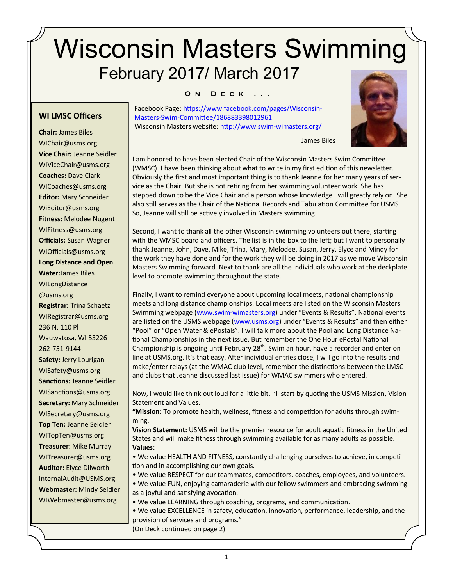# Wisconsin Masters Swimming February 2017/ March 2017

#### **O n D e c k . . .**

**WI LMSC Officers**

**Chair:** James Biles WIChair@usms.org **Vice Chair:** Jeanne Seidler WIViceChair@usms.org **Coaches:** Dave Clark WICoaches@usms.org **Editor:** Mary Schneider WiEditor@usms.org **Fitness:** Melodee Nugent WIFitness@usms.org **Officials:** Susan Wagner WIOfficials@usms.org **Long Distance and Open Water:**James Biles WILongDistance @usms.org **Registrar:** Trina Schaetz WIRegistrar@usms.org 236 N. 110 Pl Wauwatosa, WI 53226 262-751-9144 **Safety:** Jerry Lourigan WISafety@usms.org **Sanctions:** Jeanne Seidler WISanctions@usms.org **Secretary:** Mary Schneider WISecretary@usms.org **Top Ten:** Jeanne Seidler WITopTen@usms.org **Treasurer**: Mike Murray WITreasurer@usms.org **Auditor:** Elyce Dilworth [InternalAudit@USMS.org](mailto:InternalAudit@USMS.org) **Webmaster:** Mindy Seidler WIWebmaster@usms.org

Facebook Page: [https://www.facebook.com/pages/Wisconsin](https://www.facebook.com/pages/Wisconsin-Masters-Swim-Committee/186883398012961)-Masters-Swim-[Committee/186883398012961](https://www.facebook.com/pages/Wisconsin-Masters-Swim-Committee/186883398012961)  Wisconsin Masters website: [http://www.swim](http://www.swim-wimasters.org/)-wimasters.org/



I am honored to have been elected Chair of the Wisconsin Masters Swim Committee (WMSC). I have been thinking about what to write in my first edition of this newsletter. Obviously the first and most important thing is to thank Jeanne for her many years of service as the Chair. But she is not retiring from her swimming volunteer work. She has stepped down to be the Vice Chair and a person whose knowledge I will greatly rely on. She also still serves as the Chair of the National Records and Tabulation Committee for USMS. So, Jeanne will still be actively involved in Masters swimming.

James Biles

Second, I want to thank all the other Wisconsin swimming volunteers out there, starting with the WMSC board and officers. The list is in the box to the left; but I want to personally thank Jeanne, John, Dave, Mike, Trina, Mary, Melodee, Susan, Jerry, Elyce and Mindy for the work they have done and for the work they will be doing in 2017 as we move Wisconsin Masters Swimming forward. Next to thank are all the individuals who work at the deckplate level to promote swimming throughout the state.

Finally, I want to remind everyone about upcoming local meets, national championship meets and long distance championships. Local meets are listed on the Wisconsin Masters Swimming webpage (www.swim-[wimasters.org\)](http://www.swim-wimasters.org) under "Events & Results". National events are listed on the USMS webpage [\(www.usms.org\)](http://www.usms.org) under "Events & Results" and then either "Pool" or "Open Water & ePostals". I will talk more about the Pool and Long Distance National Championships in the next issue. But remember the One Hour ePostal National Championship is ongoing until February 28<sup>th</sup>. Swim an hour, have a recorder and enter on line at USMS.org. It's that easy. After individual entries close, I will go into the results and make/enter relays (at the WMAC club level, remember the distinctions between the LMSC and clubs that Jeanne discussed last issue) for WMAC swimmers who entered.

Now, I would like think out loud for a little bit. I'll start by quoting the USMS Mission, Vision Statement and Values.

**"Mission:** To promote health, wellness, fitness and competition for adults through swimming.

**Vision Statement:** USMS will be the premier resource for adult aquatic fitness in the United States and will make fitness through swimming available for as many adults as possible. **Values:**

• We value HEALTH AND FITNESS, constantly challenging ourselves to achieve, in competition and in accomplishing our own goals.

• We value RESPECT for our teammates, competitors, coaches, employees, and volunteers.

• We value FUN, enjoying camaraderie with our fellow swimmers and embracing swimming as a joyful and satisfying avocation.

• We value LEARNING through coaching, programs, and communication.

• We value EXCELLENCE in safety, education, innovation, performance, leadership, and the provision of services and programs." (On Deck continued on page 2)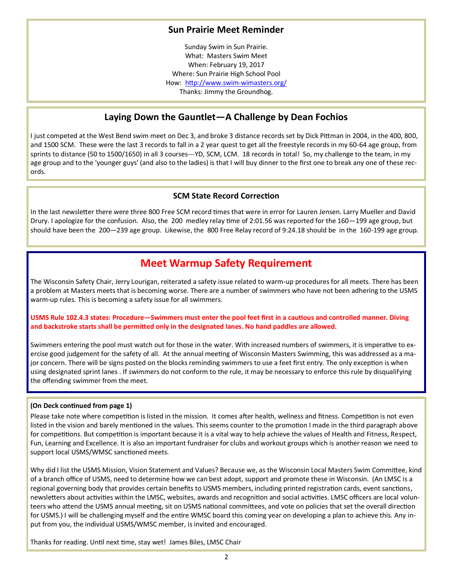#### **Sun Prairie Meet Reminder**

Sunday Swim in Sun Prairie. What: Masters Swim Meet When: February 19, 2017 Where: Sun Prairie High School Pool How: [http://www.swim](http://www.swim-wimasters.org/)-wimasters.org/ Thanks: Jimmy the Groundhog.

### **Laying Down the Gauntlet—A Challenge by Dean Fochios**

I just competed at the West Bend swim meet on Dec 3, and broke 3 distance records set by Dick Pittman in 2004, in the 400, 800, and 1500 SCM. These were the last 3 records to fall in a 2 year quest to get all the freestyle records in my 60-64 age group, from sprints to distance (50 to 1500/1650) in all 3 courses---YD, SCM, LCM. 18 records in total! So, my challenge to the team, in my age group and to the 'younger guys' (and also to the ladies) is that I will buy dinner to the first one to break any one of these records.

#### **SCM State Record Correction**

In the last newsletter there were three 800 Free SCM record times that were in error for Lauren Jensen. Larry Mueller and David Drury. I apologize for the confusion. Also, the 200 medley relay time of 2:01.56 was reported for the 160—199 age group, but should have been the 200—239 age group. Likewise, the 800 Free Relay record of 9:24.18 should be in the 160-199 age group.

### **Meet Warmup Safety Requirement**

The Wisconsin Safety Chair, Jerry Lourigan, reiterated a safety issue related to warm-up procedures for all meets. There has been a problem at Masters meets that is becoming worse. There are a number of swimmers who have not been adhering to the USMS warm-up rules. This is becoming a safety issue for all swimmers.

#### **USMS Rule 102.4.3 states: Procedure—Swimmers must enter the pool feet first in a cautious and controlled manner. Diving and backstroke starts shall be permitted only in the designated lanes. No hand paddles are allowed.**

Swimmers entering the pool must watch out for those in the water. With increased numbers of swimmers, it is imperative to exercise good judgement for the safety of all. At the annual meeting of Wisconsin Masters Swimming, this was addressed as a major concern. There will be signs posted on the blocks reminding swimmers to use a feet first entry. The only exception is when using designated sprint lanes . If swimmers do not conform to the rule, it may be necessary to enforce this rule by disqualifying the offending swimmer from the meet.

#### **(On Deck continued from page 1)**

Please take note where competition is listed in the mission. It comes after health, wellness and fitness. Competition is not even listed in the vision and barely mentioned in the values. This seems counter to the promotion I made in the third paragraph above for competitions. But competition is important because it is a vital way to help achieve the values of Health and Fitness, Respect, Fun, Learning and Excellence. It is also an important fundraiser for clubs and workout groups which is another reason we need to support local USMS/WMSC sanctioned meets.

Why did I list the USMS Mission, Vision Statement and Values? Because we, as the Wisconsin Local Masters Swim Committee, kind of a branch office of USMS, need to determine how we can best adopt, support and promote these in Wisconsin. (An LMSC is a regional governing body that provides certain benefits to USMS members, including printed registration cards, event sanctions, newsletters about activities within the LMSC, websites, awards and recognition and social activities. LMSC officers are local volunteers who attend the USMS annual meeting, sit on USMS national committees, and vote on policies that set the overall direction for USMS.) I will be challenging myself and the entire WMSC board this coming year on developing a plan to achieve this. Any input from you, the individual USMS/WMSC member, is invited and encouraged.

Thanks for reading. Until next time, stay wet! James Biles, LMSC Chair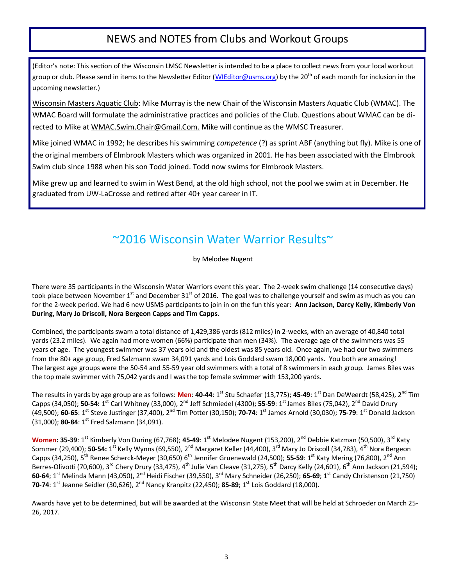### NEWS and NOTES from Clubs and Workout Groups

(Editor's note: This section of the Wisconsin LMSC Newsletter is intended to be a place to collect news from your local workout group or club. Please send in items to the Newsletter Editor ([WIEditor@usms.org\)](mailto:WIEditor@usms.org) by the 20<sup>th</sup> of each month for inclusion in the upcoming newsletter.)

Wisconsin Masters Aquatic Club: Mike Murray is the new Chair of the Wisconsin Masters Aquatic Club (WMAC). The WMAC Board will formulate the administrative practices and policies of the Club. Questions about WMAC can be directed to Mike at WMAC.Swim.Chair@Gmail.Com. Mike will continue as the WMSC Treasurer.

Mike joined WMAC in 1992; he describes his swimming *competence* (?) as sprint ABF (anything but fly). Mike is one of the original members of Elmbrook Masters which was organized in 2001. He has been associated with the Elmbrook Swim club since 1988 when his son Todd joined. Todd now swims for Elmbrook Masters.

Mike grew up and learned to swim in West Bend, at the old high school, not the pool we swim at in December. He graduated from UW-LaCrosse and retired after 40+ year career in IT.

### ~2016 Wisconsin Water Warrior Results~

by Melodee Nugent

There were 35 participants in the Wisconsin Water Warriors event this year. The 2-week swim challenge (14 consecutive days) took place between November  $1<sup>st</sup>$  and December  $31<sup>st</sup>$  of 2016. The goal was to challenge yourself and swim as much as you can for the 2-week period. We had 6 new USMS participants to join in on the fun this year: **Ann Jackson, Darcy Kelly, Kimberly Von During, Mary Jo Driscoll, Nora Bergeon Capps and Tim Capps.** 

Combined, the participants swam a total distance of 1,429,386 yards (812 miles) in 2-weeks, with an average of 40,840 total yards (23.2 miles). We again had more women (66%) participate than men (34%). The average age of the swimmers was 55 years of age. The youngest swimmer was 37 years old and the oldest was 85 years old. Once again, we had our two swimmers from the 80+ age group, Fred Salzmann swam 34,091 yards and Lois Goddard swam 18,000 yards. You both are amazing! The largest age groups were the 50-54 and 55-59 year old swimmers with a total of 8 swimmers in each group. James Biles was the top male swimmer with 75,042 yards and I was the top female swimmer with 153,200 yards.

The results in yards by age group are as follows: **Men**: **40-44**: 1st Stu Schaefer (13,775); **45-49**: 1st Dan DeWeerdt (58,425), 2nd Tim Capps (34,050); 50-54: 1<sup>st</sup> Carl Whitney (33,000), 2<sup>nd</sup> Jeff Schmiedel (4300); 55-59: 1<sup>st</sup> James Biles (75,042), 2<sup>nd</sup> David Drury (49,500); **60-65**: 1st Steve Justinger (37,400), 2nd Tim Potter (30,150); **70-74**: 1st James Arnold (30,030); **75-79**: 1st Donald Jackson (31,000); **80-84**: 1st Fred Salzmann (34,091).

**Women: 35-39**: 1<sup>st</sup> Kimberly Von During (67,768); 45-49: 1<sup>st</sup> Melodee Nugent (153,200), 2<sup>nd</sup> Debbie Katzman (50,500), 3<sup>rd</sup> Katy Sommer (29,400); **50-54:** 1<sup>st</sup> Kelly Wynns (69,550), 2<sup>nd</sup> Margaret Keller (44,400), 3<sup>rd</sup> Mary Jo Driscoll (34,783), 4<sup>th</sup> Nora Bergeon Capps (34,250), 5<sup>th</sup> Renee Scherck-Meyer (30,650) 6<sup>th</sup> Jennifer Gruenewald (24,500); **55-59**: 1<sup>st</sup> Katy Mering (76,800), 2<sup>nd</sup> Ann Berres-Olivotti (70,600), 3<sup>rd</sup> Chery Drury (33,475), 4<sup>th</sup> Julie Van Cleave (31,275), 5<sup>th</sup> Darcy Kelly (24,601), 6<sup>th</sup> Ann Jackson (21,594); **60-64**; 1st Melinda Mann (43,050), 2nd Heidi Fischer (39,550), 3rd Mary Schneider (26,250); **65-69**; 1st Candy Christenson (21,750) **70-74**: 1st Jeanne Seidler (30,626), 2nd Nancy Kranpitz (22,450); **85-89**; 1st Lois Goddard (18,000).

Awards have yet to be determined, but will be awarded at the Wisconsin State Meet that will be held at Schroeder on March 25- 26, 2017.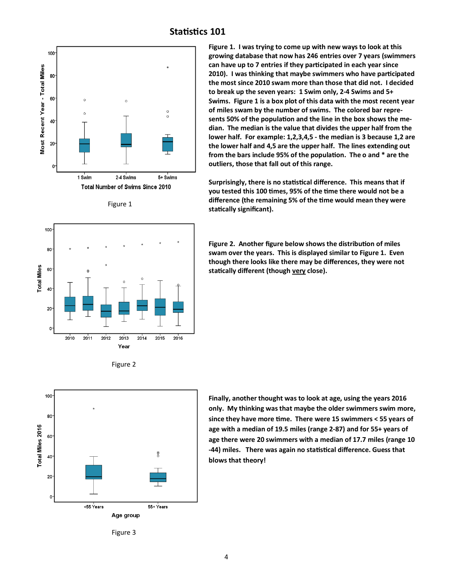

#### Figure 1





**Figure 1. I was trying to come up with new ways to look at this growing database that now has 246 entries over 7 years (swimmers can have up to 7 entries if they participated in each year since 2010). I was thinking that maybe swimmers who have participated the most since 2010 swam more than those that did not. I decided to break up the seven years: 1 Swim only, 2-4 Swims and 5+ Swims. Figure 1 is a box plot of this data with the most recent year of miles swam by the number of swims. The colored bar represents 50% of the population and the line in the box shows the median. The median is the value that divides the upper half from the lower half. For example: 1,2,3,4,5 - the median is 3 because 1,2 are the lower half and 4,5 are the upper half. The lines extending out from the bars include 95% of the population. The o and \* are the outliers, those that fall out of this range.** 

**Surprisingly, there is no statistical difference. This means that if you tested this 100 times, 95% of the time there would not be a difference (the remaining 5% of the time would mean they were statically significant).** 

**Figure 2. Another figure below shows the distribution of miles swam over the years. This is displayed similar to Figure 1. Even though there looks like there may be differences, they were not statically different (though very close).** 



**Finally, another thought was to look at age, using the years 2016 only. My thinking was that maybe the older swimmers swim more, since they have more time. There were 15 swimmers < 55 years of age with a median of 19.5 miles (range 2-87) and for 55+ years of age there were 20 swimmers with a median of 17.7 miles (range 10 -44) miles. There was again no statistical difference. Guess that blows that theory!** 

Figure 3

### **Statistics 101**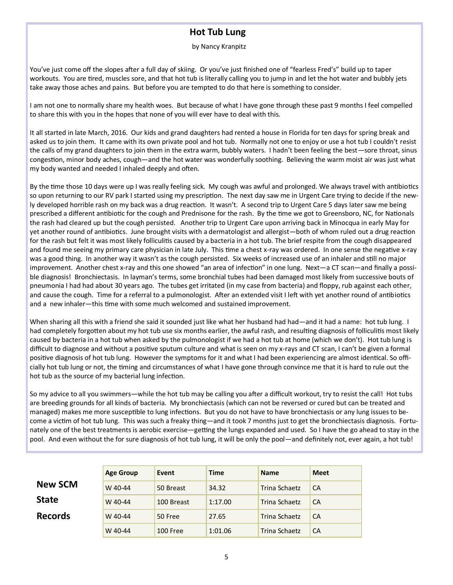### **Hot Tub Lung**

#### by Nancy Kranpitz

You've just come off the slopes after a full day of skiing. Or you've just finished one of "fearless Fred's" build up to taper workouts. You are tired, muscles sore, and that hot tub is literally calling you to jump in and let the hot water and bubbly jets take away those aches and pains. But before you are tempted to do that here is something to consider.

I am not one to normally share my health woes. But because of what I have gone through these past 9 months I feel compelled to share this with you in the hopes that none of you will ever have to deal with this.

It all started in late March, 2016. Our kids and grand daughters had rented a house in Florida for ten days for spring break and asked us to join them. It came with its own private pool and hot tub. Normally not one to enjoy or use a hot tub I couldn't resist the calls of my grand daughters to join them in the extra warm, bubbly waters. I hadn't been feeling the best—sore throat, sinus congestion, minor body aches, cough—and the hot water was wonderfully soothing. Believing the warm moist air was just what my body wanted and needed I inhaled deeply and often.

By the time those 10 days were up I was really feeling sick. My cough was awful and prolonged. We always travel with antibiotics so upon returning to our RV park I started using my prescription. The next day saw me in Urgent Care trying to decide if the newly developed horrible rash on my back was a drug reaction. It wasn't. A second trip to Urgent Care 5 days later saw me being prescribed a different antibiotic for the cough and Prednisone for the rash. By the time we got to Greensboro, NC, for Nationals the rash had cleared up but the cough persisted. Another trip to Urgent Care upon arriving back in Minocqua in early May for yet another round of antibiotics. June brought visits with a dermatologist and allergist—both of whom ruled out a drug reaction for the rash but felt it was most likely folliculitis caused by a bacteria in a hot tub. The brief respite from the cough disappeared and found me seeing my primary care physician in late July. This time a chest x-ray was ordered. In one sense the negative x-ray was a good thing. In another way it wasn't as the cough persisted. Six weeks of increased use of an inhaler and still no major improvement. Another chest x-ray and this one showed "an area of infection" in one lung. Next—a CT scan—and finally a possible diagnosis! Bronchiectasis. In layman's terms, some bronchial tubes had been damaged most likely from successive bouts of pneumonia I had had about 30 years ago. The tubes get irritated (in my case from bacteria) and floppy, rub against each other, and cause the cough. Time for a referral to a pulmonologist. After an extended visit I left with yet another round of antibiotics and a new inhaler—this time with some much welcomed and sustained improvement.

When sharing all this with a friend she said it sounded just like what her husband had had—and it had a name: hot tub lung. I had completely forgotten about my hot tub use six months earlier, the awful rash, and resulting diagnosis of folliculitis most likely caused by bacteria in a hot tub when asked by the pulmonologist if we had a hot tub at home (which we don't). Hot tub lung is difficult to diagnose and without a positive sputum culture and what is seen on my x-rays and CT scan, I can't be given a formal positive diagnosis of hot tub lung. However the symptoms for it and what I had been experiencing are almost identical. So officially hot tub lung or not, the timing and circumstances of what I have gone through convince me that it is hard to rule out the hot tub as the source of my bacterial lung infection.

So my advice to all you swimmers—while the hot tub may be calling you after a difficult workout, try to resist the call! Hot tubs are breeding grounds for all kinds of bacteria. My bronchiectasis (which can not be reversed or cured but can be treated and managed) makes me more susceptible to lung infections. But you do not have to have bronchiectasis or any lung issues to become a victim of hot tub lung. This was such a freaky thing—and it took 7 months just to get the bronchiectasis diagnosis. Fortunately one of the best treatments is aerobic exercise—getting the lungs expanded and used. So I have the go ahead to stay in the pool. And even without the for sure diagnosis of hot tub lung, it will be only the pool—and definitely not, ever again, a hot tub!

|                | <b>Age Group</b> | Event      | <b>Time</b> | <b>Name</b>   | <b>Meet</b> |
|----------------|------------------|------------|-------------|---------------|-------------|
| <b>New SCM</b> | W 40-44          | 50 Breast  | 34.32       | Trina Schaetz | CA          |
| <b>State</b>   | W 40-44          | 100 Breast | 1:17.00     | Trina Schaetz | CA          |
| <b>Records</b> | W 40-44          | 50 Free    | 27.65       | Trina Schaetz | CA          |
|                | W 40-44          | 100 Free   | 1:01.06     | Trina Schaetz | CA          |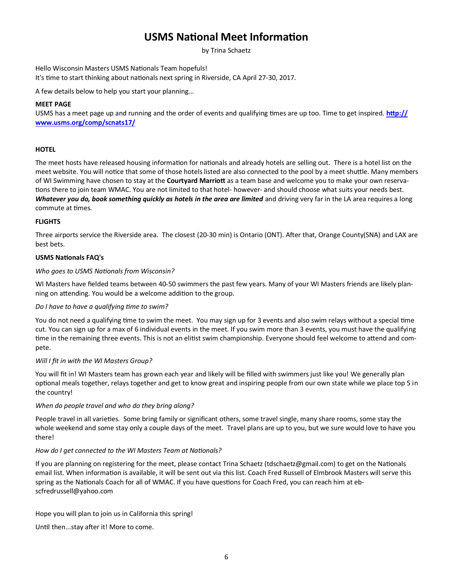### **USMS National Meet Information**

by Trina Schaetz

Hello Wisconsin Masters USMS Nationals Team hopefuls! It's time to start thinking about nationals next spring in Riverside, CA April 27-30, 2017.

A few details below to help you start your planning...

#### **MEET PAGE**

USMS has a meet page up and running and the order of events and qualifying times are up too. Time to get inspired. **[http://](http://www.usms.org/comp/scnats17/) [www.usms.org/comp/scnats17/](http://www.usms.org/comp/scnats17/)**

#### **HOTEL**

The meet hosts have released housing information for nationals and already hotels are selling out. There is a hotel list on the meet website. You will notice that some of those hotels listed are also connected to the pool by a meet shuttle. Many members of WI Swimming have chosen to stay at the **Courtyard Marriott** as a team base and welcome you to make your own reservations there to join team WMAC. You are not limited to that hotel- however- and should choose what suits your needs best. *Whatever you do, book something quickly as hotels in the area are limited* and driving very far in the LA area requires a long commute at times.

#### **FLIGHTS**

Three airports service the Riverside area. The closest (20-30 min) is Ontario (ONT). After that, Orange County(SNA) and LAX are best bets.

#### **USMS Nationals FAQ's**

#### *Who goes to USMS Nationals from Wisconsin?*

WI Masters have fielded teams between 40-50 swimmers the past few years. Many of your WI Masters friends are likely planning on attending. You would be a welcome addition to the group.

#### *Do I have to have a qualifying time to swim?*

You do not need a qualifying time to swim the meet. You may sign up for 3 events and also swim relays without a special time cut. You can sign up for a max of 6 individual events in the meet. If you swim more than 3 events, you must have the qualifying time in the remaining three events. This is not an elitist swim championship. Everyone should feel welcome to attend and compete.

#### *Will I fit in with the WI Masters Group?*

You will fit in! WI Masters team has grown each year and likely will be filled with swimmers just like you! We generally plan optional meals together, relays together and get to know great and inspiring people from our own state while we place top 5 in the country!

#### *When do people travel and who do they bring along?*

People travel in all varieties. Some bring family or significant others, some travel single, many share rooms, some stay the whole weekend and some stay only a couple days of the meet. Travel plans are up to you, but we sure would love to have you there!

#### *How do I get connected to the WI Masters Team at Nationals?*

If you are planning on registering for the meet, please contact Trina Schaetz (tdschaetz@gmail.com) to get on the Nationals email list. When information is available, it will be sent out via this list. Coach Fred Russell of Elmbrook Masters will serve this spring as the Nationals Coach for all of WMAC. If you have questions for Coach Fred, you can reach him at ebscfredrussell@yahoo.com

Hope you will plan to join us in California this spring!

Until then...stay after it! More to come.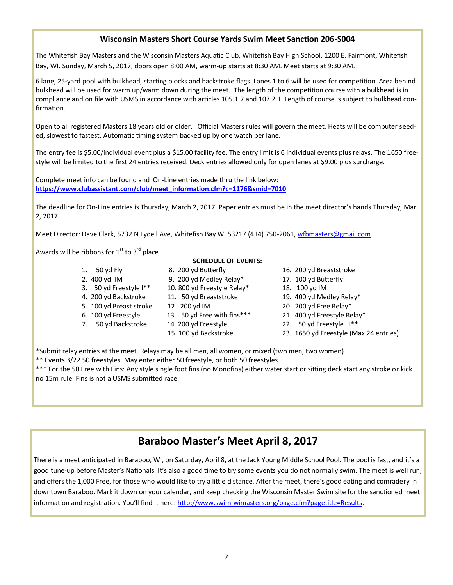#### **Wisconsin Masters Short Course Yards Swim Meet Sanction 206-S004**

The Whitefish Bay Masters and the Wisconsin Masters Aquatic Club, Whitefish Bay High School, 1200 E. Fairmont, Whitefish Bay, WI. Sunday, March 5, 2017, doors open 8:00 AM, warm-up starts at 8:30 AM. Meet starts at 9:30 AM.

6 lane, 25-yard pool with bulkhead, starting blocks and backstroke flags. Lanes 1 to 6 will be used for competition. Area behind bulkhead will be used for warm up/warm down during the meet. The length of the competition course with a bulkhead is in compliance and on file with USMS in accordance with articles 105.1.7 and 107.2.1. Length of course is subject to bulkhead confirmation.

Open to all registered Masters 18 years old or older. Official Masters rules will govern the meet. Heats will be computer seeded, slowest to fastest. Automatic timing system backed up by one watch per lane.

The entry fee is \$5.00/individual event plus a \$15.00 facility fee. The entry limit is 6 individual events plus relays. The 1650 freestyle will be limited to the first 24 entries received. Deck entries allowed only for open lanes at \$9.00 plus surcharge.

Complete meet info can be found and On-Line entries made thru the link below: **[https://www.clubassistant.com/club/meet\\_information.cfm?c=1176&smid=7010](https://www.clubassistant.com/club/meet_information.cfm?c=1176&smid=7010)**

The deadline for On-Line entries is Thursday, March 2, 2017. Paper entries must be in the meet director's hands Thursday, Mar 2, 2017.

Meet Director: Dave Clark, 5732 N Lydell Ave, Whitefish Bay WI 53217 (414) 750-2061, [wfbmasters@gmail.com.](mailto:wfbmasters@gmail.com)

Awards will be ribbons for  $1<sup>st</sup>$  to  $3<sup>rd</sup>$  place

- -
- 
- 
- 
- 
- **SCHEDULE OF EVENTS:**
- 1. 50 yd Fly 8. 200 yd Butterfly 16. 200 yd Breaststroke
- 2. 400 yd IM 9. 200 yd Medley Relay\* 17. 100 yd Butterfly
- 3. 50 yd Freestyle I\*\* 10. 800 yd Freestyle Relay\* 18. 100 yd IM
	-
	-
	-
	- - -
- 
- 
- 
- 4. 200 yd Backstroke 11. 50 yd Breaststroke 19. 400 yd Medley Relay\*
- 5. 100 yd Breast stroke 12. 200 yd IM 20. 200 yd Free Relay\*
- 6. 100 yd Freestyle 13. 50 yd Free with fins\*\*\* 21. 400 yd Freestyle Relay\*
- 7. 50 yd Backstroke 14. 200 yd Freestyle 22. 50 yd Freestyle II\*\*
	- 15. 100 yd Backstroke 23. 1650 yd Freestyle (Max 24 entries)

\*Submit relay entries at the meet. Relays may be all men, all women, or mixed (two men, two women) \*\* Events 3/22 50 freestyles. May enter either 50 freestyle, or both 50 freestyles.

\*\*\* For the 50 Free with Fins: Any style single foot fins (no Monofins) either water start or sitting deck start any stroke or kick no 15m rule. Fins is not a USMS submitted race.

### **Baraboo Master's Meet April 8, 2017**

There is a meet anticipated in Baraboo, WI, on Saturday, April 8, at the Jack Young Middle School Pool. The pool is fast, and it's a good tune-up before Master's Nationals. It's also a good time to try some events you do not normally swim. The meet is well run, and offers the 1,000 Free, for those who would like to try a little distance. After the meet, there's good eating and comradery in downtown Baraboo. Mark it down on your calendar, and keep checking the Wisconsin Master Swim site for the sanctioned meet information and registration. You'll find it here: http://www.swim-[wimasters.org/page.cfm?pagetitle=Results.](http://www.swim-wimasters.org/page.cfm?pagetitle=Results)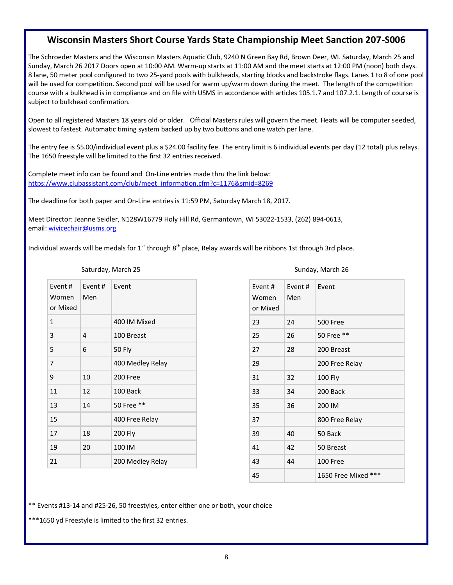#### **Wisconsin Masters Short Course Yards State Championship Meet Sanction 207-S006**

The Schroeder Masters and the Wisconsin Masters Aquatic Club, 9240 N Green Bay Rd, Brown Deer, WI. Saturday, March 25 and Sunday, March 26 2017 Doors open at 10:00 AM. Warm-up starts at 11:00 AM and the meet starts at 12:00 PM (noon) both days. 8 lane, 50 meter pool configured to two 25-yard pools with bulkheads, starting blocks and backstroke flags. Lanes 1 to 8 of one pool will be used for competition. Second pool will be used for warm up/warm down during the meet. The length of the competition course with a bulkhead is in compliance and on file with USMS in accordance with articles 105.1.7 and 107.2.1. Length of course is subject to bulkhead confirmation.

Open to all registered Masters 18 years old or older. Official Masters rules will govern the meet. Heats will be computer seeded, slowest to fastest. Automatic timing system backed up by two buttons and one watch per lane.

The entry fee is \$5.00/individual event plus a \$24.00 facility fee. The entry limit is 6 individual events per day (12 total) plus relays. The 1650 freestyle will be limited to the first 32 entries received.

Complete meet info can be found and On-Line entries made thru the link below: [https://www.clubassistant.com/club/meet\\_information.cfm?c=1176&smid=8269](https://www.clubassistant.com/club/meet_information.cfm?c=1176&smid=8269)

The deadline for both paper and On-Line entries is 11:59 PM, Saturday March 18, 2017.

Meet Director: Jeanne Seidler, N128W16779 Holy Hill Rd, Germantown, WI 53022-1533, (262) 894-0613, email: [wivicechair@usms.org](mailto:wivicechair@usms.org)

Individual awards will be medals for  $1^{st}$  through  $8^{th}$  place, Relay awards will be ribbons 1st through 3rd place.

| Saturday, March 25          |                |                  |  |  |  |
|-----------------------------|----------------|------------------|--|--|--|
| Event#<br>Women<br>or Mixed | Event #<br>Men | Event            |  |  |  |
| 1                           |                | 400 IM Mixed     |  |  |  |
| 3                           | 4              | 100 Breast       |  |  |  |
| 5                           | 6              | <b>50 Fly</b>    |  |  |  |
| 7                           |                | 400 Medley Relay |  |  |  |
| 9                           | 10             | 200 Free         |  |  |  |
| 11                          | 12             | 100 Back         |  |  |  |
| 13                          | 14             | 50 Free **       |  |  |  |
| 15                          |                | 400 Free Relay   |  |  |  |
| 17                          | 18             | 200 Fly          |  |  |  |
| 19                          | 20             | 100 IM           |  |  |  |

Sunday, March 26

| Event #<br>Women<br>or Mixed | Event#<br>Men | Event                  |
|------------------------------|---------------|------------------------|
| 23                           | 24            | <b>500 Free</b>        |
| 25                           | 26            | 50 Free **             |
| 27                           | 28            | 200 Breast             |
| 29                           |               | 200 Free Relay         |
| 31                           | 32            | <b>100 Fly</b>         |
| 33                           | 34            | 200 Back               |
| 35                           | 36            | 200 IM                 |
| 37                           |               | 800 Free Relay         |
| 39                           | 40            | 50 Back                |
| 41                           | 42            | 50 Breast              |
| 43                           | 44            | 100 Free               |
| 45                           |               | ***<br>1650 Free Mixed |

\*\* Events #13-14 and #25-26, 50 freestyles, enter either one or both, your choice

\*\*\*1650 yd Freestyle is limited to the first 32 entries.

21 200 Medley Relay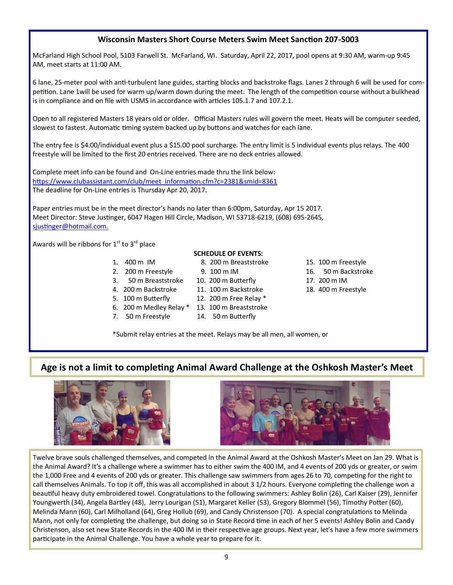#### **Wisconsin Masters Short Course Meters Swim Meet Sanction 207-S003**

McFarland High School Pool, 5103 Farwell St. McFarland, WI. Saturday, April 22, 2017, pool opens at 9:30 AM, warm-up 9:45 AM, meet starts at 11:00 AM.

6 lane, 25-meter pool with anti-turbulent lane guides, starting blocks and backstroke flags. Lanes 2 through 6 will be used for competition. Lane 1will be used for warm up/warm down during the meet. The length of the competition course without a bulkhead is in compliance and on file with USMS in accordance with articles 105.1.7 and 107.2.1.

Open to all registered Masters 18 years old or older. Official Masters rules will govern the meet. Heats will be computer seeded, slowest to fastest. Automatic timing system backed up by buttons and watches for each lane.

The entry fee is \$4.00/individual event plus a \$15.00 pool surcharge. The entry limit is 5 individual events plus relays. The 400 freestyle will be limited to the first 20 entries received. There are no deck entries allowed.

Complete meet info can be found and On-Line entries made thru the link below: https://www.clubassistant.com/club/meet\_information.cfm?c=2381&smid=8361 The deadline for On-Line entries is Thursday Apr 20, 2017.

Paper entries must be in the meet director's hands no later than 6:00pm, Saturday, Apr 15 2017. Meet Director: Steve Justinger, 6047 Hagen Hill Circle, Madison, WI 53718-6219, (608) 695-2645, sjustinger@hotmail.com[.](mailto:sjustinger@hotmaill.com.)

Awards will be ribbons for  $1^{\text{st}}$  to  $3^{\text{rd}}$  place

- 
- 
- 
- 5. 100 m Butterfly 12. 200 m Free Relay \*
- 
- 
- 6. 200 m Medley Relay \* 13. 100 m Breaststroke
- 7. 50 m Freestyle 14. 50 m Butterfly

**SCHEDULE OF EVENTS:**

- 1. 400 m IM 8. 200 m Breaststroke 15. 100 m Freestyle
- 2. 200 m Freestyle 9. 100 m IM 16. 50 m Backstroke
- 3. 50 m Breaststroke 10. 200 m Butterfly 17. 200 m IM
- 4. 200 m Backstroke 11. 100 m Backstroke 18. 400 m Freestyle

\*Submit relay entries at the meet. Relays may be all men, all women, or

### **Age is not a limit to completing Animal Award Challenge at the Oshkosh Master's Meet**





Twelve brave souls challenged themselves, and competed in the Animal Award at the Oshkosh Master's Meet on Jan 29. What is the Animal Award? It's a challenge where a swimmer has to either swim the 400 IM, and 4 events of 200 yds or greater, or swim the 1,000 Free and 4 events of 200 yds or greater. This challenge saw swimmers from ages 26 to 70, competing for the right to call themselves Animals. To top it off, this was all accomplished in about 3 1/2 hours. Everyone completing the challenge won a beautiful heavy duty embroidered towel. Congratulations to the following swimmers: Ashley Bolin (26), Carl Kaiser (29), Jennifer Youngwerth (34), Angela Bartley (48), Jerry Lourigan (51), Margaret Keller (53), Gregory Blommel (56), Timothy Potter (60), Melinda Mann (60), Carl Milholland (64), Greg Hollub (69), and Candy Christenson (70). A special congratulations to Melinda Mann, not only for completing the challenge, but doing so in State Record time in each of her 5 events! Ashley Bolin and Candy Christenson, also set new State Records in the 400 IM in their respective age groups. Next year, let's have a few more swimmers participate in the Animal Challenge. You have a whole year to prepare for it.